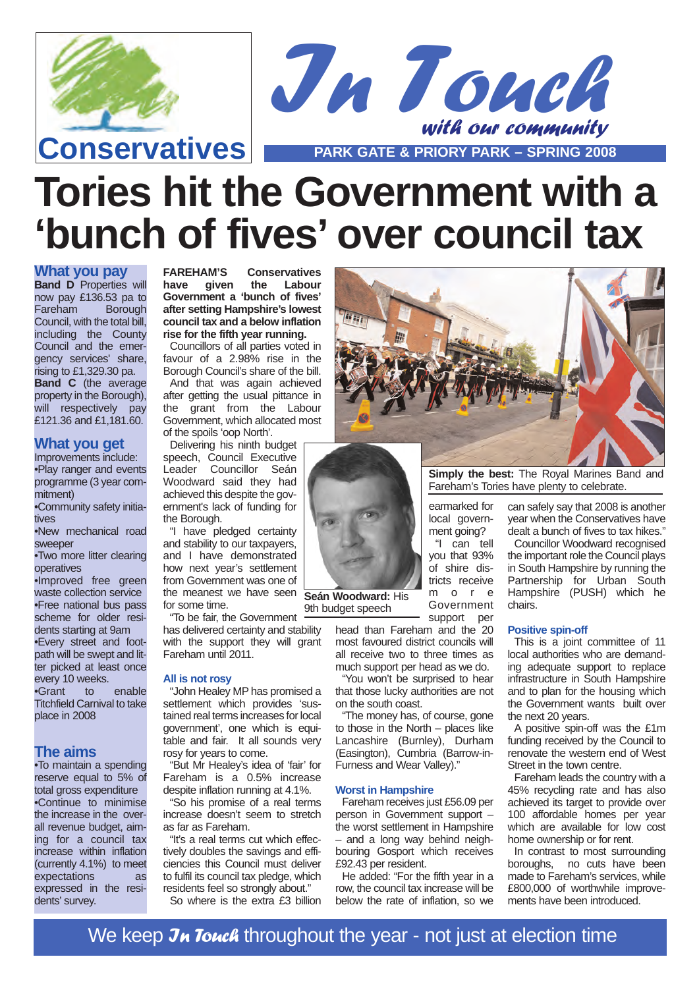



**Tories hit the Government with a 'bunch of fives' over council tax**

### **What you pay**

**Band D** Properties will now pay £136.53 pa to Fareham Borough Council, with the total bill, including the County Council and the emergency services' share,  $\overline{\text{r}}$ ising to £1,329.30 pa. **Band C** (the average property in the Borough), will respectively pay £121.36 and £1,181.60.

### **What you get**

Improvements include: •Play ranger and events programme (3 year commitment)

•Community safety initiatives

•New mechanical road sweeper

•Two more litter clearing operatives

•Improved free green waste collection service •Free national bus pass scheme for older residents starting at 9am •Every street and footpath will be swept and lit-.<br>ter picked at least once every 10 weeks.<br>•Grant to to enable Titchfield Carnival to take place in 2008

### **The aims**

•To maintain a spending reserve equal to 5% of total gross expenditure •Continue to minimise the increase in the overall revenue budget, aiming for a council tax increase within inflation (currently 4.1%) to meet expectations as expressed in the residents' survey.

**FAREHAM'S Conservatives** the **Labour Government a 'bunch of fives' after setting Hampshire's lowest council tax and a below inflation rise for the fifth year running.**

Councillors of all parties voted in favour of a 2.98% rise in the Borough Council's share of the bill. And that was again achieved after getting the usual pittance in the grant from the Labour Government, which allocated most of the spoils 'oop North'.

Delivering his ninth budget speech, Council Executive Leader Councillor Seán Woodward said they had achieved this despite the government's lack of funding for the Borough.

"I have pledged certainty and stability to our taxpayers, and I have demonstrated how next year's settlement from Government was one of the meanest we have seen **Seán Woodward:** His for some time.

"To be fair, the Government 9th budget speech

has delivered certainty and stability with the support they will grant Fareham until 2011.

#### **All is not rosy**

"John Healey MP has promised a settlement which provides 'sustained real terms increases for local government', one which is equitable and fair. It all sounds very rosy for years to come.

"But Mr Healey's idea of 'fair' for Fareham is a 0.5% increase despite inflation running at 4.1%.

"So his promise of a real terms increase doesn't seem to stretch as far as Fareham.

"It's a real terms cut which effectively doubles the savings and efficiencies this Council must deliver to fulfil its council tax pledge, which residents feel so strongly about."

So where is the extra £3 billion



**Simply the best:** The Royal Marines Band and Fareham's Tories have plenty to celebrate.

earmarked for local government going?

"I can tell you that 93% of shire districts receive m o r e Government support per

head than Fareham and the 20 most favoured district councils will all receive two to three times as much support per head as we do.

"You won't be surprised to hear that those lucky authorities are not on the south coast.

"The money has, of course, gone to those in the North – places like Lancashire (Burnley), Durham (Easington), Cumbria (Barrow-in-Furness and Wear Valley)."

#### **Worst in Hampshire**

Fareham receives just £56.09 per person in Government support – the worst settlement in Hampshire – and a long way behind neighbouring Gosport which receives £92.43 per resident.

He added: "For the fifth year in a row, the council tax increase will be below the rate of inflation, so we can safely say that 2008 is another year when the Conservatives have dealt a bunch of fives to tax hikes."

Councillor Woodward recognised the important role the Council plays in South Hampshire by running the Partnership for Urban South Hampshire (PUSH) which he chairs.

#### **Positive spin-off**

This is a joint committee of 11 local authorities who are demanding adequate support to replace infrastructure in South Hampshire and to plan for the housing which the Government wants built over the next 20 years.

A positive spin-off was the £1m funding received by the Council to renovate the western end of West Street in the town centre.

Fareham leads the country with a 45% recycling rate and has also achieved its target to provide over 100 affordable homes per year which are available for low cost home ownership or for rent.

In contrast to most surrounding boroughs, no cuts have been made to Fareham's services, while £800,000 of worthwhile improvements have been introduced.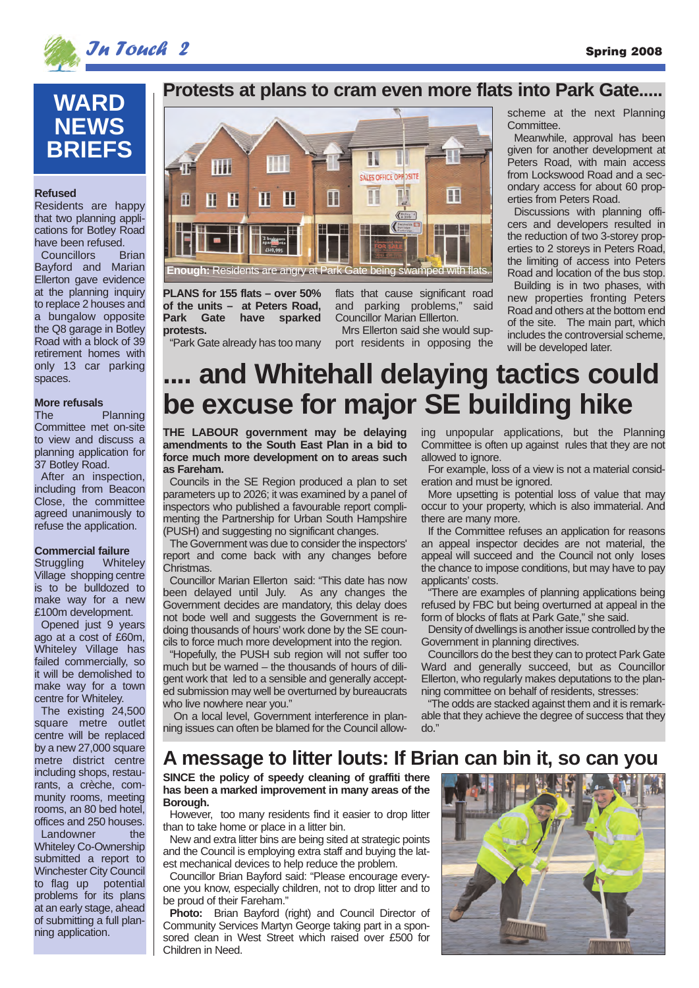



# **WARD NEWS BRIEFS**

#### **Refused**

Residents are happy that two planning applications for Botley Road have been refused.<br>Councillors Brian

Councillors Bayford and Marian Ellerton gave evidence at the planning inquiry to replace 2 houses and a bungalow opposite the Q8 garage in Botley Road with a block of 39 retirement homes with only 13 car parking spaces.

## **More refusals**

Planning Committee met on-site to view and discuss a planning application for 37 Botley Road.

After an inspection, including from Beacon Close, the committee agreed unanimously to refuse the application.

**Commercial failure**<br>Struggling Whiteley Struggling Village shopping centre is to be bulldozed to make way for a new £100m development.

Opened just 9 years ago at a cost of £60m, Whiteley Village has failed commercially, so it will be demolished to make way for a town centre for Whiteley.

The existing 24,500 square metre outlet centre will be replaced by a new 27,000 square metre district centre including shops, restaurants, a crèche, community rooms, meeting rooms, an 80 bed hotel, offices and 250 houses. Landowner the Whiteley Co-Ownership submitted a report to Winchester City Council to flag up potential problems for its plans at an early stage, ahead of submitting a full planning application.

### **Protests at plans to cram even more flats into Park Gate.....**



**PLANS for 155 flats – over 50% of the units – at Peters Road, Park Gate have sparked protests.** "Park Gate already has too many flats that cause significant road and parking problems," said Councillor Marian Elllerton.

Mrs Ellerton said she would support residents in opposing the scheme at the next Planning Committee.

Meanwhile, approval has been given for another development at Peters Road, with main access from Lockswood Road and a secondary access for about 60 properties from Peters Road.

Discussions with planning officers and developers resulted in the reduction of two 3-storey properties to 2 storeys in Peters Road, the limiting of access into Peters Road and location of the bus stop.

Building is in two phases, with new properties fronting Peters Road and others at the bottom end of the site. The main part, which includes the controversial scheme, will be developed later.

# **.... and Whitehall delaying tactics could be excuse for major SE building hike**

**THE LABOUR government may be delaying amendments to the South East Plan in a bid to force much more development on to areas such as Fareham.**

Councils in the SE Region produced a plan to set parameters up to 2026; it was examined by a panel of inspectors who published a favourable report complimenting the Partnership for Urban South Hampshire (PUSH) and suggesting no significant changes.

The Government was due to consider the inspectors' report and come back with any changes before Christmas.

Councillor Marian Ellerton said: "This date has now been delayed until July. As any changes the Government decides are mandatory, this delay does not bode well and suggests the Government is redoing thousands of hours' work done by the SE councils to force much more development into the region.

"Hopefully, the PUSH sub region will not suffer too much but be warned – the thousands of hours of diligent work that led to a sensible and generally accepted submission may well be overturned by bureaucrats who live nowhere near you."

On a local level, Government interference in planning issues can often be blamed for the Council allowing unpopular applications, but the Planning Committee is often up against rules that they are not allowed to ignore.

For example, loss of a view is not a material consideration and must be ignored.

More upsetting is potential loss of value that may occur to your property, which is also immaterial. And there are many more.

If the Committee refuses an application for reasons an appeal inspector decides are not material, the appeal will succeed and the Council not only loses the chance to impose conditions, but may have to pay applicants' costs.

There are examples of planning applications being refused by FBC but being overturned at appeal in the form of blocks of flats at Park Gate," she said.

Density of dwellings is another issue controlled by the Government in planning directives.

Councillors do the best they can to protect Park Gate Ward and generally succeed, but as Councillor Ellerton, who regularly makes deputations to the planning committee on behalf of residents, stresses:

"The odds are stacked against them and it is remarkable that they achieve the degree of success that they do."

### **A message to litter louts: If Brian can bin it, so can you**

**SINCE the policy of speedy cleaning of graffiti there has been a marked improvement in many areas of the Borough.**

However, too many residents find it easier to drop litter than to take home or place in a litter bin.

New and extra litter bins are being sited at strategic points and the Council is employing extra staff and buying the latest mechanical devices to help reduce the problem.

Councillor Brian Bayford said: "Please encourage everyone you know, especially children, not to drop litter and to be proud of their Fareham."

**Photo:** Brian Bayford (right) and Council Director of Community Services Martyn George taking part in a sponsored clean in West Street which raised over £500 for Children in Need.

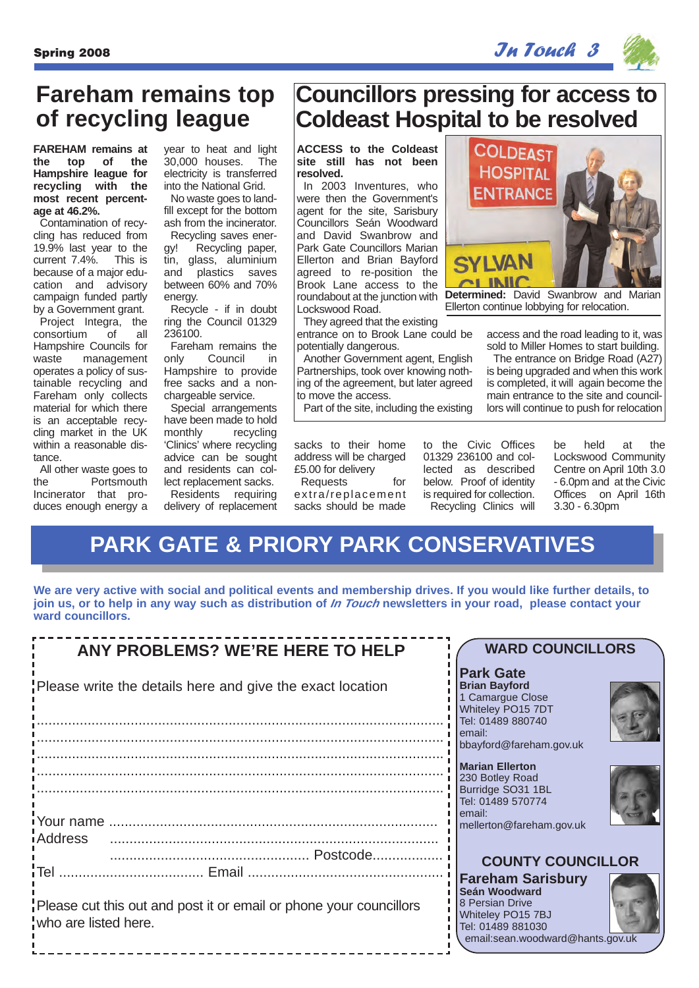## $S_{\rm pring}$  2008 In Touch 3

**Councillors pressing for access to**

**COLDEAST HOSPITAL ENTRANCE** 

**Coldeast Hospital to be resolved**



# **Fareham remains top of recycling league**

**FAREHAM remains at the top of the Hampshire league for recycling with the most recent percentage at 46.2%.** 

Contamination of recycling has reduced from 19.9% last year to the current 7.4%. because of a major education and advisory campaign funded partly by a Government grant.

Project Integra, the consortium of all Hampshire Councils for waste management operates a policy of sustainable recycling and Fareham only collects material for which there is an acceptable recycling market in the UK within a reasonable distance.

All other waste goes to<br>the Portsmouth Portsmouth Incinerator that produces enough energy a

year to heat and light 30,000 houses. The electricity is transferred into the National Grid.

No waste goes to landfill except for the bottom ash from the incinerator.

Recycling saves energy! Recycling paper, tin, glass, aluminium and plastics saves between 60% and 70% energy.

Recycle - if in doubt ring the Council 01329 236100.

Fareham remains the only Council in Hampshire to provide free sacks and a nonchargeable service.

Special arrangements have been made to hold monthly recycling 'Clinics' where recycling advice can be sought and residents can collect replacement sacks. Residents requiring

delivery of replacement

**ACCESS to the Coldeast site still has not been resolved.** In 2003 Inventures, who

were then the Government's agent for the site, Sarisbury Councillors Seán Woodward and David Swanbrow and Park Gate Councillors Marian Ellerton and Brian Bayford agreed to re-position the Brook Lane access to the roundabout at the junction with Lockswood Road.

They agreed that the existing entrance on to Brook Lane could be potentially dangerous.

Another Government agent, English Partnerships, took over knowing nothing of the agreement, but later agreed to move the access.

Part of the site, including the existing

sacks to their home address will be charged £5.00 for delivery

Requests for extra/replacement sacks should be made

to the Civic Offices 01329 236100 and collected as described below. Proof of identity is required for collection. Recycling Clinics will

be held at the Lockswood Community Centre on April 10th 3.0 - 6.0pm and at the Civic Offices on April 16th 3.30 - 6.30pm

access and the road leading to it, was sold to Miller Homes to start building. The entrance on Bridge Road (A27) is being upgraded and when this work is completed, it will again become the main entrance to the site and councillors will continue to push for relocation

**Determined:** David Swanbrow and Marian Ellerton continue lobbying for relocation.

# **PARK GATE & PRIORY PARK CONSERVATIVES**

**We are very active with social and political events and membership drives. If you would like further details, to join us, or to help in any way such as distribution of In Touch newsletters in your road, please contact your ward councillors.**

| <b>ANY PROBLEMS? WE'RE HERE TO HELP</b>                                                    | <b>WARD COUNCILLORS</b>                                                                                                                    |
|--------------------------------------------------------------------------------------------|--------------------------------------------------------------------------------------------------------------------------------------------|
| Please write the details here and give the exact location                                  | <b>Park Gate</b><br><b>Brian Bayford</b><br>1 Camargue Close<br>Whiteley PO15 7DT<br>Tel: 01489 880740                                     |
|                                                                                            | email:<br>bbayford@fareham.gov.uk                                                                                                          |
|                                                                                            | <b>Marian Ellerton</b><br>230 Botley Road<br>Burridge SO31 1BL<br>Tel: 01489 570774<br>email:<br>mellerton@fareham.gov.uk                  |
| iAddress                                                                                   | <b>COUNTY COUNCILLOR</b>                                                                                                                   |
| Please cut this out and post it or email or phone your councillors<br>who are listed here. | <b>Fareham Sarisbury</b><br>Seán Woodward<br>8 Persian Drive<br>Whiteley PO15 7BJ<br>Tel: 01489 881030<br>email:sean.woodward@hants.gov.uk |